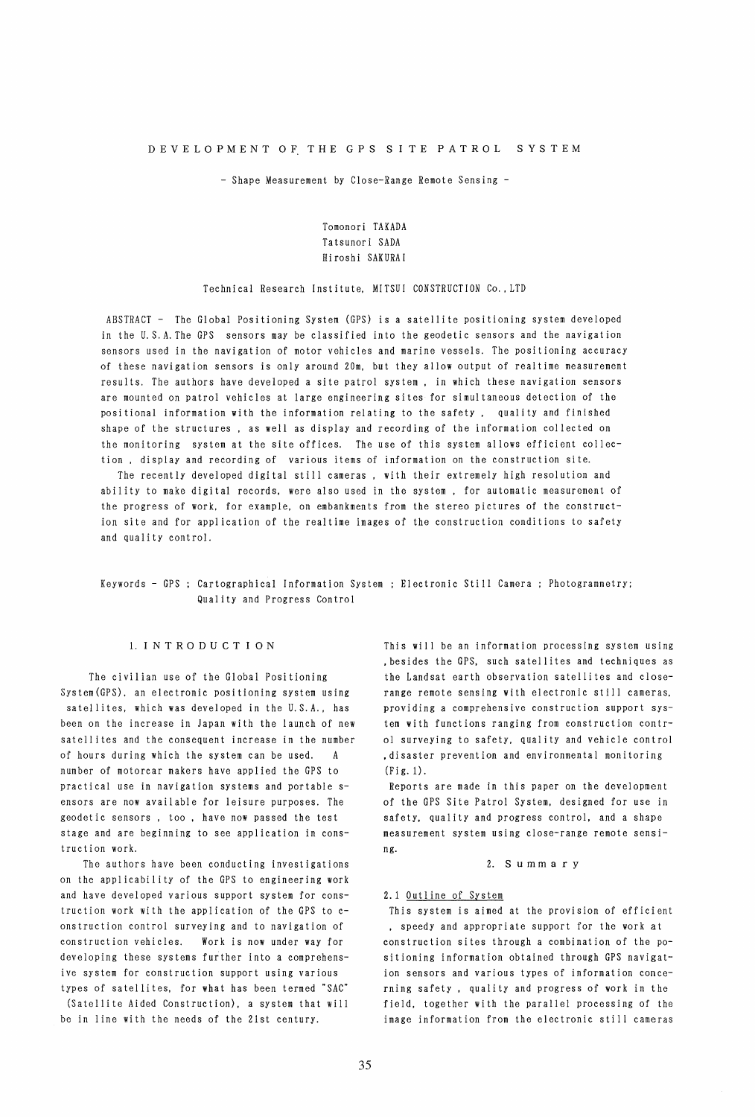- Shape Measurement by Close-Range Remote Sensing -

# Tomonori TAKADA Tatsunori SADA Hi roshi SAKURA I

### Technical Research Institute. MITSUI CONSTRUCTION Co., LTD

ABSTRACT - The Global Positioning System (GPS) is a satellite positioning system developed in the U. S.A. The GPS sensors may be classified into the geodetic sensors and the navigation sensors used in the navigation of motor vehicles and marine vessels. The positioning accuracy of these navigation sensors is only around 20m. but they allow output of realtime measurement results. The authors have developed a site patrol system, in which these navigation sensors are mounted on patrol vehicles at large engineering sites for simultaneous detection of the positional information with the information relating to the safety. quality and finished shape of the structures, as well as display and recording of the information collected on the monitoring system at the site offices. The use of this system allows efficient collection, display and recording of various items of information on the construction site.

The recently developed digital still cameras, with their extremely high resolution and ability to make digital records. were also used in the system, for automatic measurement of the progress of work, for example. on embankments from the stereo pictures of the construction site and for application of the realtime images of the construction conditions to safety and quality control.

# Keywords - GPS ; Cartographical Information System ; Electronic Still Camera ; Photogrammetry; Quality and Progress Control

### l.INTRODUCTION

The civilian use of the Global Positioning System(GPS). an electronic positioning system using satellites, which was developed in the U.S.A., has been on the increase in Japan with the launch of new satellites and the consequent increase in the number of hours during which the system can be used. A number of motorcar makers have applied the GPS to practical use in navigation systems and portable sensors are now available for leisure purposes. The geodet ic sensors, too. have now passed the test stage and are beginning to see application in construction work.

The authors have been conducting investigations on the applicability of the GPS to engineering work and have developed various support system for construction work with the application of the GPS to construction control surveying and to navigation of construction vehicles. Work is now under way for developing these systems further into a comprehensive system for construction support using various types of satellites. for what has been termed "SAC"

(Satellite Aided Construction). a system that will be in line with the needs of the 21st century.

This will be an information processing system using , besides the GPS, such satellites and techniques as the Landsat earth observation satellites and closerange remote sensing with electronic still cameras. providing a comprehensive construction support system with functions ranging from construction control surveying to safety, quality and vehicle control .disaster prevention and environmental monitoring (Fig. 1).

Reports are made in this paper on the development of the GPS Site Patrol System. designed for use in safety. quality and progress control. and a shape measurement system using close-range remote sensing.

2. S u mm a r y

### 2.1 Outline of System

This system is aimed at the provision of efficient , speedy and appropriate support for the work at construction sites through a combination of the positioning information obtained through GPS navigation sensors and various types of information concerning safety. quali ty and progress of work in the field. together with the parallel processing of the image information from the electronic still cameras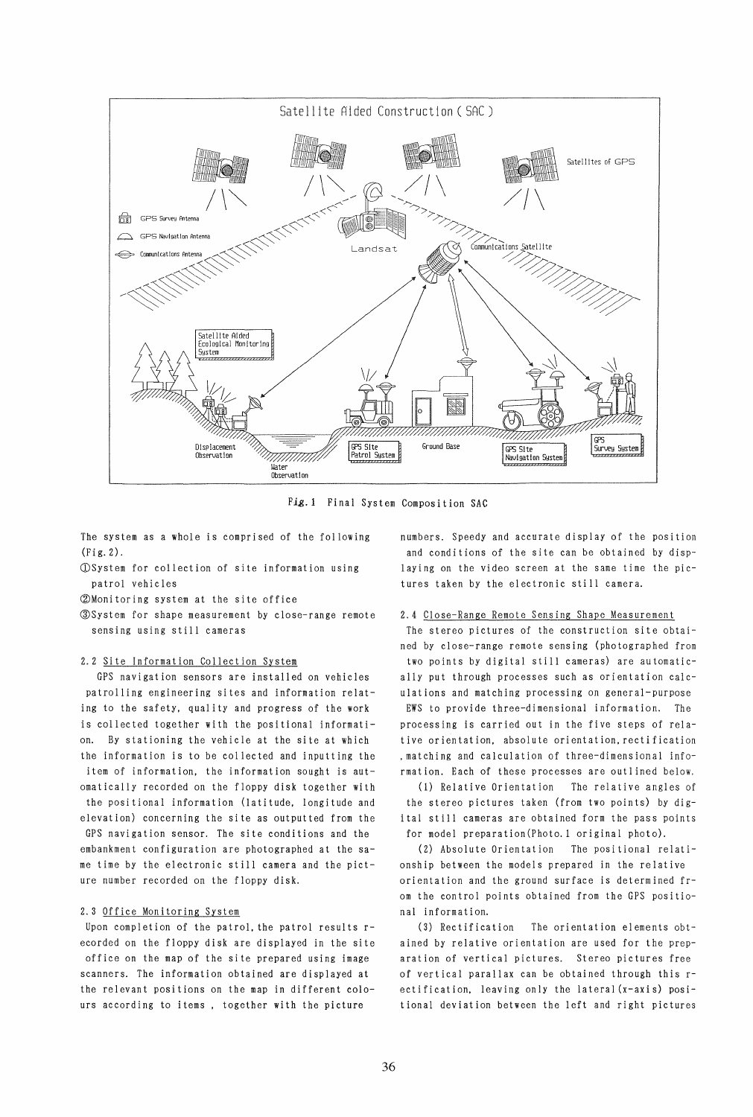

*Fig.* 1 Final System Composition SAC

The system as a whole is comprised of the following (Fig.2).

(DSystem for collection of site information using patrol vehicles

GDMonitoring system at the site office

~System for shape measurement by close-range remote sensing using still cameras

### 2.2 Site Information Collection System

GPS navigation sensors are installed on vehicles patrolling engineering sites and information relating to the safety, quality and progress of the work is collected together with the positional information. By stationing the vehicle at the site at which the information is to be collected and inputting the item of information. the information sought is automatically recorded on the floppy disk together with the positional information (latitude. longitude and elevation) concerning the site as outputted from the GPS navigation sensor. The site conditions and the embankment configuration are photographed at the same time by the electronic still camera and the picture number recorded on the floppy disk.

# 2.3 Office Monitoring System

Upon completion of the patrol. the patrol results recorded on the floppy disk are displayed in the site office on the map of the site prepared using image scanners. The information obtained are displayed at the relevant positions on the map in different colours according to items. together with the picture

numbers. Speedy and accurate display of the position and conditions of the site can be obtained by displaying on the video screen at the same time the pictures taken by the electronic still camera.

### 2.4 Close-Range Remote Sensing Shape Measurement

The stereo pictures of the construction site obtained by close-range remote sensing (photographed from two points by digital still cameras) are automatically put through processes such as orientation calculations and matching processing on general-purpose EWS to provide three-dimensional information. The processing is carried out in the five steps of relative orientation. absolute orientation. rectification .matching and calculation of three-dimensional information. Each of these processes are outlined below.

(1) Relative Orientation The relative angles of the stereo pictures taken (from two points) by digital still cameras are obtained form the pass points for model preparation(Photo.l original photo).

(2) Absolute Orientation The positional relationship between the models prepared in the relative orientation and the ground surface is determined from the control points obtained from the GPS positional information.

(3) Rectification The orientation elements obtained by relative orientation are used for the preparation of vertical pictures. Stereo pictures free of vertical parallax can be obtained through this rectification. leaving only the lateral(x-axis) positional deviation between the left and right pictures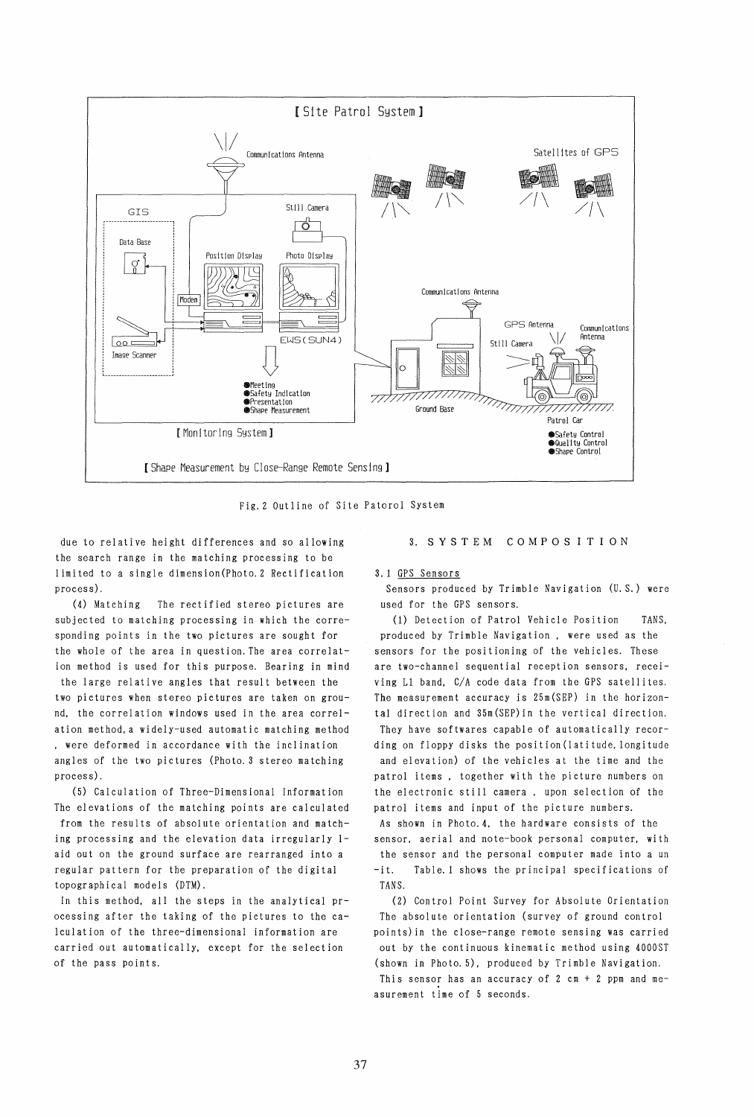

Fig.2 Outline of Site Patorol System

due to relative height differences and so allowing the search range in the matching processing to be limited to a single dimension(Photo.2 Rectification process).

(4) Matching The rectified stereo pictures are subjected to matching processing in which the corresponding points in the two pictures are sought for the whole of the area in question. The area correlation method is used for this purpose. Bearing in mind the large relative angles that result between the two pictures when stereo pictures are taken on ground. the correlation windows used in the area correlation method, a widely-used automatic matching method . were deformed in accordance with the inclination angles of the two pictures (Photo. 3 stereo matching process).

(5) Calculation of Three-Dimensional Information The elevations of the matching points are calculated from the results of absolute orientation and matching processing and the elevation data irregularly laid out on the ground surface are rearranged into a regular pattern for the preparation of the digital topographical models (DTM).

In this method, all the steps in the analytical processing after the taking of the pictures to the calculation of the three-dimensional information are carried out automatically. except for the selection of the pass points.

# 3. S Y S T EM COM P 0 SIT ION

### 3.1 GPS Sensors

Sensors produced by Trimble Navigation (U. S.) were used for the GPS sensors.

(1) Detection of Patrol Vehicle Position TANS, produced by Trimble Navigation, were used as the sensors for the positioning of the vehicles. These are two-channel sequential reception sensors, receiving L1 band, C/A code data from the GPS satellites. The measurement accuracy is 25m(SEP) in the horizontal direction and 35m(SEP)in the vertical direction. They have softwares capable of automatically recording on floppy disks the position(latitude,longitude and elevation) of the vehicles at the time and the patrol items, together with the picture numbers on the electronic still camera. upon selection of the patrol items and input of the picture numbers. As shown in Photo.4, the hardware consists of the sensor. aerial and note-book personal computer. wi th the sensor and the personal computer made into a un -it. Table. 1 shows the principal specifications of TANS.

(2) Control Point Survey for Absolute Orientation The absolute orientation (survey of ground control points)in the close-range remote sensing was carried out by the continuous kinematic method using 4000ST (shown in Photo. 5). produced by Trimble Navigation. This sensor has an accuracy of  $2$  cm +  $2$  ppm and measurement time of 5 seconds.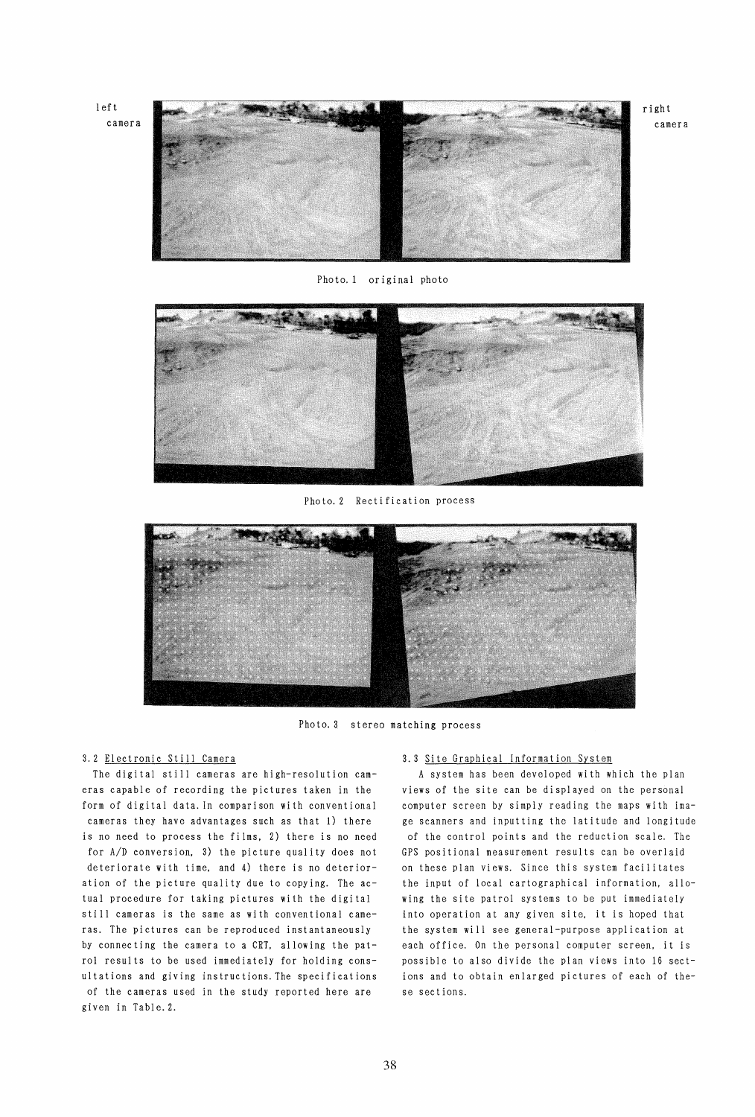

Photo. 1 original photo



Photo. 2 Rectification process



Photo. 3 stereo matching process

The digital still cameras are high-resolution cameras capable of recording the pictures taken in the form of digital data. In comparison with conventional cameras they have advantages such as that 1) there is no need to process the films. 2) there is no need for A/D conversion, 3) the picture quality does not deteriorate with time. and 4) there is no deterioration of the picture quality due to copying. The actual procedure for taking pictures with the digital still cameras is the same as with conventional cameras. The pictures can be reproduced instantaneously by connecting the camera to a CRT. allowing the patrol results to be used immediately for holding consultations and giving instructions. The specifications of the cameras used in the study reported here are given in Table. 2.

# 3.2 Electronic Still Camera 3.3 Site Graphical Information System

A system has been developed with which the plan views of the site can be displayed on the personal computer screen by simply reading the maps with image scanners and inputting the latitude and longitude of the control points and the reduction scale. The GPS positional measurement results can be overlaid on these plan views. Since this system facilitates the input of local cartographical information. allowing the site patrol systems to be put immediately into operation at any given site. it is hoped that the system will see general-purpose application at each office. On the personal computer screen. it is possible to also divide the plan views into 16 sections and to obtain enlarged pictures of each of these sections.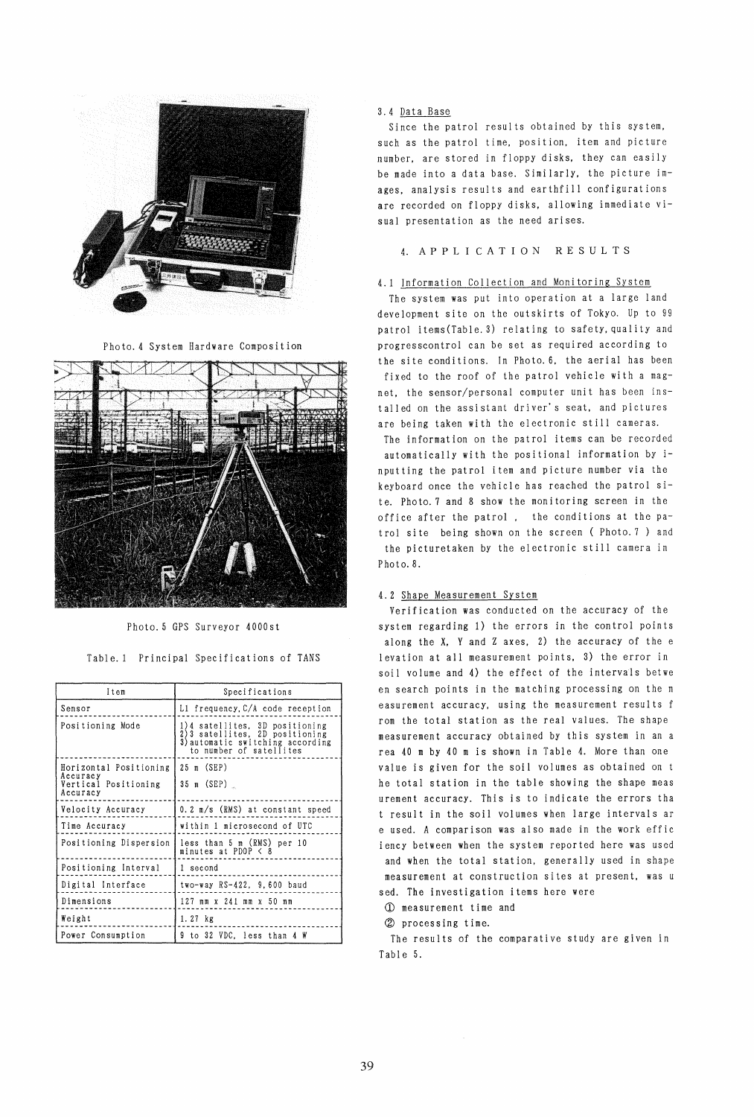

Photo. 4 System Hardware Composition



Photo. 5 GPS Surveyor 4000st

Table. 1 Principal Specifications of TANS

| Item                                         | Specifications                                                                                                                  |  |  |  |
|----------------------------------------------|---------------------------------------------------------------------------------------------------------------------------------|--|--|--|
| Sensor                                       | L1 frequency,C/A code reception                                                                                                 |  |  |  |
| Positioning Mode                             | 1)4 satellites, 3D positioning<br>2)3 satellites, 2D positioning<br>3) automatic switching according<br>to number of satellites |  |  |  |
| Horizontal Positioning                       | 25 m (SEP)                                                                                                                      |  |  |  |
| Accuracy<br>Vertical Positioning<br>Accuracy | 35 m (SEP)                                                                                                                      |  |  |  |
| Velocity Accuracy                            | 0.2 m/s (RMS) at constant speed                                                                                                 |  |  |  |
| Time Accuracy                                | within 1 microsecond of UTC                                                                                                     |  |  |  |
| Positioning Dispersion                       | less than 5 m (RMS) per 10<br>minutes at PDOP $\leq 8$                                                                          |  |  |  |
| Positioning Interval                         | 1 second                                                                                                                        |  |  |  |
| Digital Interface                            | two-way RS-422, 9,600 baud                                                                                                      |  |  |  |
| Dimensions                                   | 127 mm x 241 mm x 50 mm                                                                                                         |  |  |  |
| Weight                                       | $1.27$ $kg$                                                                                                                     |  |  |  |
| Power Consumption                            | 9 to 32 VDC. less than 4 W                                                                                                      |  |  |  |

# 3.4 Data Base

Since the patrol results obtained by this system, such as the patrol time, position, item and picture number, are stored in floppy disks, they can easily be made into a data base. Similarly. the picture images. analysis results and earthfill configurations are recorded on floppy disks. allowing immediate visual presentation as the need arises.

# 4. A P P LIe A T ION RES U L T S

# 4.1 Information Collection and Moni toring System

The system was put into operation at a large land development site on the outskirts of Tokyo. Up to 99 patrol items(Table.3) relating to safety. quality and progresscontrol can be set as required according to the site conditions. In Photo. 6. the aerial has been fixed to the roof of the patrol vehicle with a magnet. the sensor/personal computer unit has been installed on the assistant driver's seat. and pictures are being taken with the electronic still cameras.

The information on the patrol items can be recorded automatically with the positional information by inputting the patrol item and picture number via the keyboard once the vehicle has reached the patrol site. Photo. 7 and 8 show the moni toring screen in the office after the patrol. the conditions at the patrol site being shown on the screen (Photo. 7) and the picturetaken by the electronic still camera in Photo<sub>.8</sub>.

## 4.2 Shape Measurement System

Verification was conducted on the accuracy of the system regarding 1) the errors in the control points along the X. Y and Z axes. 2) the accuracy of the e levation at all measurement points. 3) the error in soil volume and 4) the effect of the intervals betwe en search points in the matching processing on the m easurement accuracy. using the measurement results f rom the total station as the real values. The shape measurement accuracy obtained by this system in an a rea 40 m by 40 m is shown in Table 4. More than one value is given for the soil volumes as obtained on t he total station in the table showing the shape meas urement accuracy. This is to indicate the errors tha result in the soil volumes when large intervals ar e used. A comparison was also made in the work effic iency between when the system reported here was used and when the total station. generally used in shape measurement at construction sites at present. was u sed. The investigation items here were

CD measurement time and

@ processing time.

The results of the comparative study are given in Table 5.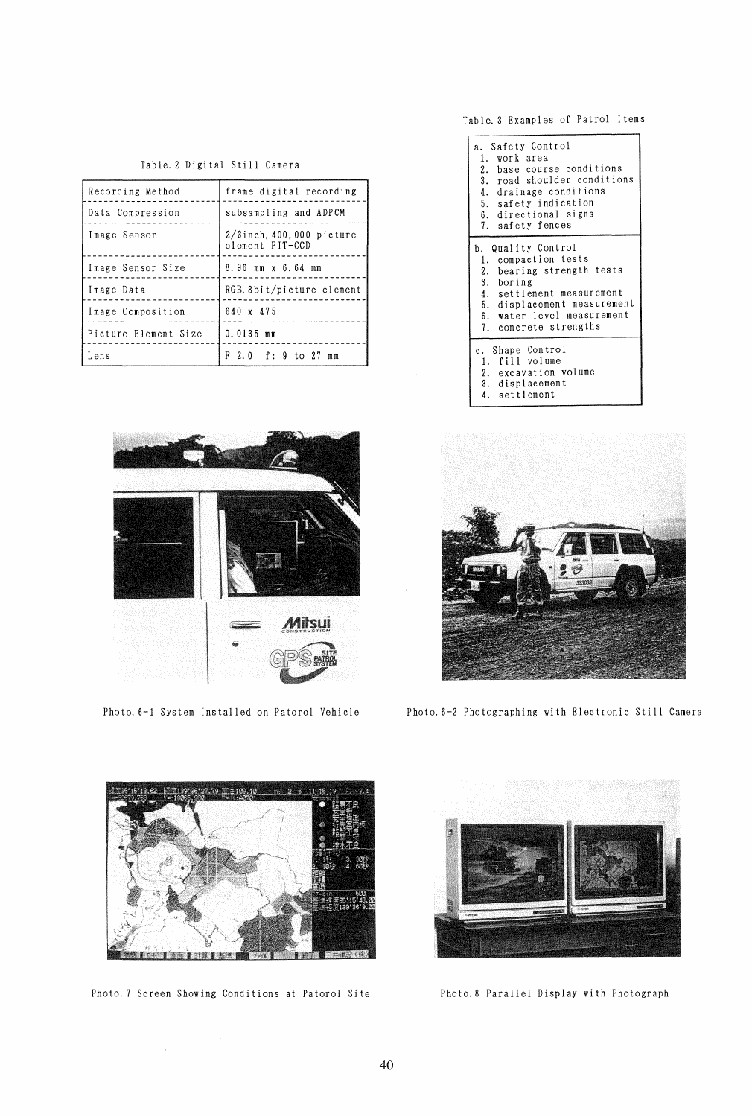Table. 3 Examples of Patrol Items

1. work area<br>2. base course conditions 3. road shoulder conditions 4. drainage conditions 5. safety indication 6. directional signs 7. safety fences

4. settlement measurement 5. displacement measurement 6. water level measurement 7. concrete strengths

a. Safety Control

b. Quality Control<br>1. compaction tests 2. bearing strength tests

3. boring

c. Shape Control 1. fill volume 2. excavat ion vol ume 3. displacement 4. settlement

| iabie. Z pikitai stili tamera                    |  |  |  |  |
|--------------------------------------------------|--|--|--|--|
| frame digital recording                          |  |  |  |  |
| subsampling and ADPCM                            |  |  |  |  |
| $2/3$ inch, $400,000$ picture<br>element FIT-CCD |  |  |  |  |
| 8.96 mm x 6.64 mm                                |  |  |  |  |
| RGB, 8bit/picture element                        |  |  |  |  |
| 640 x 475                                        |  |  |  |  |
| $0.0135$ mm                                      |  |  |  |  |
| F 2.0 f: 9 to 27<br>m <sub>m</sub>               |  |  |  |  |
|                                                  |  |  |  |  |

# $Table 2$  Digital Still C



Photo. 6-2 Photographing with Electronic Still Camera



Photo. 6-1 System Installed on Patorol Vehicle



Photo. 7 Screen Showing Conditions at Patorol Si te

 $\mathcal{A}^{\mathcal{A}}$ 



Photo.8 Parallel Display with Photograph